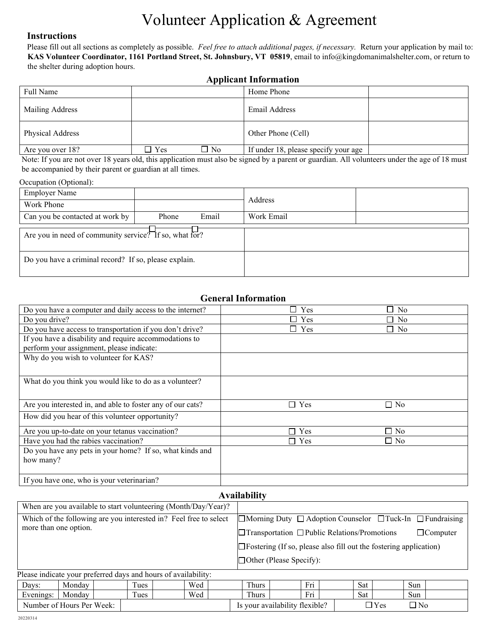# Volunteer Application & Agreement

#### **Instructions**

Please fill out all sections as completely as possible. *Feel free to attach additional pages, if necessary.* Return your application by mail to: **KAS Volunteer Coordinator, 1161 Portland Street, St. Johnsbury, VT 05819**, email to info@kingdomanimalshelter.com, or return to the shelter during adoption hours.

### **Applicant Information**

| Full Name        |               |      | Home Phone                           |  |
|------------------|---------------|------|--------------------------------------|--|
| Mailing Address  |               |      | Email Address                        |  |
| Physical Address |               |      | Other Phone (Cell)                   |  |
| Are you over 18? | $\square$ Yes | ∩ No | If under 18, please specify your age |  |

Note: If you are not over 18 years old, this application must also be signed by a parent or guardian. All volunteers under the age of 18 must be accompanied by their parent or guardian at all times.

#### Occupation (Optional):

| <b>Employer Name</b>                                   |                |            |  |
|--------------------------------------------------------|----------------|------------|--|
| Work Phone                                             |                | Address    |  |
| Can you be contacted at work by                        | Email<br>Phone | Work Email |  |
| Are you in need of community service? If so, what for? |                |            |  |
| Do you have a criminal record? If so, please explain.  |                |            |  |

#### **General Information**

| Do you have a computer and daily access to the internet?             | Yes        | $\square$ No |  |  |  |
|----------------------------------------------------------------------|------------|--------------|--|--|--|
| Do you drive?                                                        | Yes        | ∃ No         |  |  |  |
| Do you have access to transportation if you don't drive?             | Yes        | $\Box$ No    |  |  |  |
| If you have a disability and require accommodations to               |            |              |  |  |  |
| perform your assignment, please indicate:                            |            |              |  |  |  |
| Why do you wish to volunteer for KAS?                                |            |              |  |  |  |
|                                                                      |            |              |  |  |  |
| What do you think you would like to do as a volunteer?               |            |              |  |  |  |
|                                                                      |            |              |  |  |  |
| Are you interested in, and able to foster any of our cats?           | $\Box$ Yes | $\Box$ No    |  |  |  |
| How did you hear of this volunteer opportunity?                      |            |              |  |  |  |
| Are you up-to-date on your tetanus vaccination?                      | $\Box$ Yes | $\Box$ No    |  |  |  |
| Have you had the rabies vaccination?                                 | $\Box$ Yes | $\square$ No |  |  |  |
| Do you have any pets in your home? If so, what kinds and             |            |              |  |  |  |
| how many?                                                            |            |              |  |  |  |
|                                                                      |            |              |  |  |  |
| If you have one, who is your veterinarian?                           |            |              |  |  |  |
| <b>Availability</b>                                                  |            |              |  |  |  |
| $-1$<br>$\cdots$<br>$\overline{a}$ , $\overline{a}$ , $\overline{a}$ |            |              |  |  |  |

| When are you available to start volunteering (Month/Day/Year)?    |        |  |      |                                                                          |                                                                             |                                |                                                                                 |  |     |  |     |  |            |  |
|-------------------------------------------------------------------|--------|--|------|--------------------------------------------------------------------------|-----------------------------------------------------------------------------|--------------------------------|---------------------------------------------------------------------------------|--|-----|--|-----|--|------------|--|
| Which of the following are you interested in? Feel free to select |        |  |      |                                                                          |                                                                             |                                | $\Box$ Morning Duty $\Box$ Adoption Counselor $\Box$ Tuck-In $\Box$ Fundraising |  |     |  |     |  |            |  |
| more than one option.                                             |        |  |      |                                                                          | $\Box$ Transportation $\Box$ Public Relations/Promotions<br>$\Box$ Computer |                                |                                                                                 |  |     |  |     |  |            |  |
|                                                                   |        |  |      | $\Box$ Fostering (If so, please also fill out the fostering application) |                                                                             |                                |                                                                                 |  |     |  |     |  |            |  |
|                                                                   |        |  |      |                                                                          |                                                                             | $\Box$ Other (Please Specify): |                                                                                 |  |     |  |     |  |            |  |
| Please indicate your preferred days and hours of availability:    |        |  |      |                                                                          |                                                                             |                                |                                                                                 |  |     |  |     |  |            |  |
| Days:                                                             | Monday |  | Tues |                                                                          | Wed                                                                         |                                | Thurs                                                                           |  | Fri |  | Sat |  | <b>Sun</b> |  |
| Evenings:                                                         | Mondav |  | Tues |                                                                          | Wed                                                                         |                                | Thurs                                                                           |  | Fri |  | Sat |  | Sun        |  |

Number of Hours Per Week: | **IS Your availability flexible?** | IS YOUR NO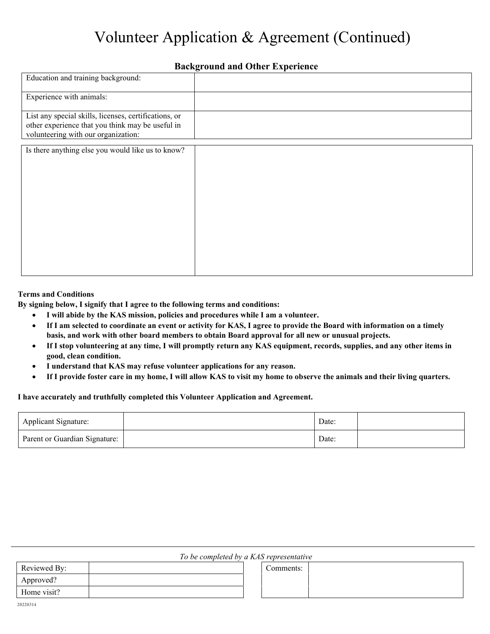# Volunteer Application & Agreement (Continued)

### **Background and Other Experience**

| Education and training background:                                                                                                               |  |
|--------------------------------------------------------------------------------------------------------------------------------------------------|--|
| Experience with animals:                                                                                                                         |  |
| List any special skills, licenses, certifications, or<br>other experience that you think may be useful in<br>volunteering with our organization: |  |
| Is there anything else you would like us to know?                                                                                                |  |

#### **Terms and Conditions**

**By signing below, I signify that I agree to the following terms and conditions:** 

- **I will abide by the KAS mission, policies and procedures while I am a volunteer.**
- **If I am selected to coordinate an event or activity for KAS, I agree to provide the Board with information on a timely basis, and work with other board members to obtain Board approval for all new or unusual projects.**
- **If I stop volunteering at any time, I will promptly return any KAS equipment, records, supplies, and any other items in good, clean condition.**
- **I understand that KAS may refuse volunteer applications for any reason.**
- **If I provide foster care in my home, I will allow KAS to visit my home to observe the animals and their living quarters.**

#### **I have accurately and truthfully completed this Volunteer Application and Agreement.**

| Applicant Signature:          | Date: |  |
|-------------------------------|-------|--|
| Parent or Guardian Signature: | Date: |  |

|  |  | To be completed by a KAS representative |  |
|--|--|-----------------------------------------|--|
|  |  |                                         |  |

Comments:

| Reviewed By: |  |
|--------------|--|
| Approved?    |  |
| Home visit?  |  |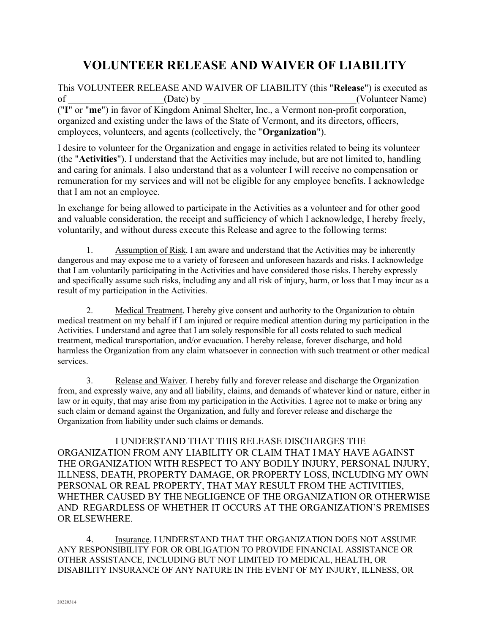# **VOLUNTEER RELEASE AND WAIVER OF LIABILITY**

This VOLUNTEER RELEASE AND WAIVER OF LIABILITY (this "**Release**") is executed as of the contract of the contract of the contract of the contract of the contract of the contract of the contract of the contract of the contract of the contract of the contract of the contract of the contract of the contrac ("**I**" or "**me**") in favor of Kingdom Animal Shelter, Inc., a Vermont non-profit corporation, organized and existing under the laws of the State of Vermont, and its directors, officers, employees, volunteers, and agents (collectively, the "**Organization**").

I desire to volunteer for the Organization and engage in activities related to being its volunteer (the "**Activities**"). I understand that the Activities may include, but are not limited to, handling and caring for animals. I also understand that as a volunteer I will receive no compensation or remuneration for my services and will not be eligible for any employee benefits. I acknowledge that I am not an employee.

In exchange for being allowed to participate in the Activities as a volunteer and for other good and valuable consideration, the receipt and sufficiency of which I acknowledge, I hereby freely, voluntarily, and without duress execute this Release and agree to the following terms:

1. Assumption of Risk. I am aware and understand that the Activities may be inherently dangerous and may expose me to a variety of foreseen and unforeseen hazards and risks. I acknowledge that I am voluntarily participating in the Activities and have considered those risks. I hereby expressly and specifically assume such risks, including any and all risk of injury, harm, or loss that I may incur as a result of my participation in the Activities.

2. Medical Treatment. I hereby give consent and authority to the Organization to obtain medical treatment on my behalf if I am injured or require medical attention during my participation in the Activities. I understand and agree that I am solely responsible for all costs related to such medical treatment, medical transportation, and/or evacuation. I hereby release, forever discharge, and hold harmless the Organization from any claim whatsoever in connection with such treatment or other medical services.

3. Release and Waiver. I hereby fully and forever release and discharge the Organization from, and expressly waive, any and all liability, claims, and demands of whatever kind or nature, either in law or in equity, that may arise from my participation in the Activities. I agree not to make or bring any such claim or demand against the Organization, and fully and forever release and discharge the Organization from liability under such claims or demands.

I UNDERSTAND THAT THIS RELEASE DISCHARGES THE ORGANIZATION FROM ANY LIABILITY OR CLAIM THAT I MAY HAVE AGAINST THE ORGANIZATION WITH RESPECT TO ANY BODILY INJURY, PERSONAL INJURY, ILLNESS, DEATH, PROPERTY DAMAGE, OR PROPERTY LOSS, INCLUDING MY OWN PERSONAL OR REAL PROPERTY, THAT MAY RESULT FROM THE ACTIVITIES, WHETHER CAUSED BY THE NEGLIGENCE OF THE ORGANIZATION OR OTHERWISE AND REGARDLESS OF WHETHER IT OCCURS AT THE ORGANIZATION'S PREMISES OR ELSEWHERE.

4. Insurance. I UNDERSTAND THAT THE ORGANIZATION DOES NOT ASSUME ANY RESPONSIBILITY FOR OR OBLIGATION TO PROVIDE FINANCIAL ASSISTANCE OR OTHER ASSISTANCE, INCLUDING BUT NOT LIMITED TO MEDICAL, HEALTH, OR DISABILITY INSURANCE OF ANY NATURE IN THE EVENT OF MY INJURY, ILLNESS, OR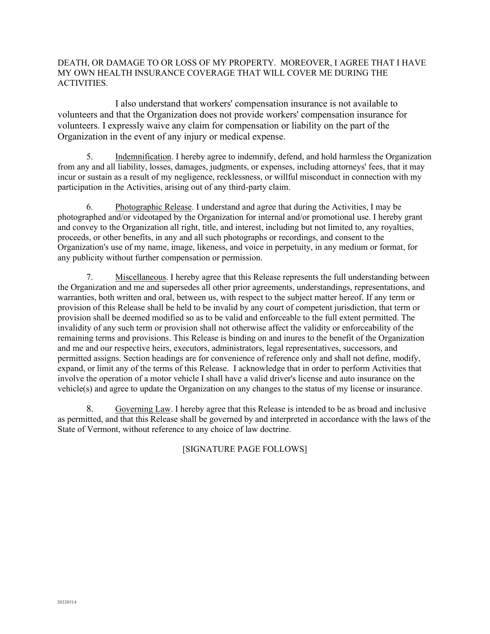#### DEATH, OR DAMAGE TO OR LOSS OF MY PROPERTY. MOREOVER, I AGREE THAT I HAVE MY OWN HEALTH INSURANCE COVERAGE THAT WILL COVER ME DURING THE ACTIVITIES.

I also understand that workers' compensation insurance is not available to volunteers and that the Organization does not provide workers' compensation insurance for volunteers. I expressly waive any claim for compensation or liability on the part of the Organization in the event of any injury or medical expense.

5. Indemnification. I hereby agree to indemnify, defend, and hold harmless the Organization from any and all liability, losses, damages, judgments, or expenses, including attorneys' fees, that it may incur or sustain as a result of my negligence, recklessness, or willful misconduct in connection with my participation in the Activities, arising out of any third-party claim.

6. Photographic Release. I understand and agree that during the Activities, I may be photographed and/or videotaped by the Organization for internal and/or promotional use. I hereby grant and convey to the Organization all right, title, and interest, including but not limited to, any royalties, proceeds, or other benefits, in any and all such photographs or recordings, and consent to the Organization's use of my name, image, likeness, and voice in perpetuity, in any medium or format, for any publicity without further compensation or permission.

7. Miscellaneous. I hereby agree that this Release represents the full understanding between the Organization and me and supersedes all other prior agreements, understandings, representations, and warranties, both written and oral, between us, with respect to the subject matter hereof. If any term or provision of this Release shall be held to be invalid by any court of competent jurisdiction, that term or provision shall be deemed modified so as to be valid and enforceable to the full extent permitted. The invalidity of any such term or provision shall not otherwise affect the validity or enforceability of the remaining terms and provisions. This Release is binding on and inures to the benefit of the Organization and me and our respective heirs, executors, administrators, legal representatives, successors, and permitted assigns. Section headings are for convenience of reference only and shall not define, modify, expand, or limit any of the terms of this Release. I acknowledge that in order to perform Activities that involve the operation of a motor vehicle I shall have a valid driver's license and auto insurance on the vehicle(s) and agree to update the Organization on any changes to the status of my license or insurance.

8. Governing Law. I hereby agree that this Release is intended to be as broad and inclusive as permitted, and that this Release shall be governed by and interpreted in accordance with the laws of the State of Vermont, without reference to any choice of law doctrine.

[SIGNATURE PAGE FOLLOWS]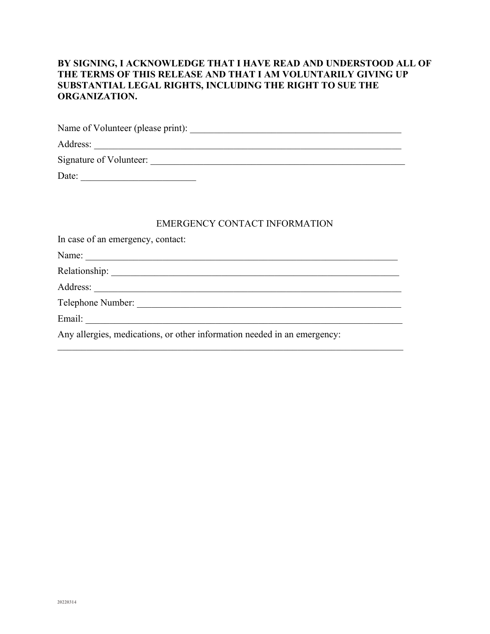## **BY SIGNING, I ACKNOWLEDGE THAT I HAVE READ AND UNDERSTOOD ALL OF THE TERMS OF THIS RELEASE AND THAT I AM VOLUNTARILY GIVING UP SUBSTANTIAL LEGAL RIGHTS, INCLUDING THE RIGHT TO SUE THE ORGANIZATION.**

| Name of Volunteer (please print): |
|-----------------------------------|
| Address:                          |
| Signature of Volunteer:           |
| Date:                             |

#### EMERGENCY CONTACT INFORMATION

| In case of an emergency, contact:                                        |
|--------------------------------------------------------------------------|
| Name:                                                                    |
|                                                                          |
| Address:                                                                 |
| Telephone Number:                                                        |
| Email:                                                                   |
| Any allergies, medications, or other information needed in an emergency: |